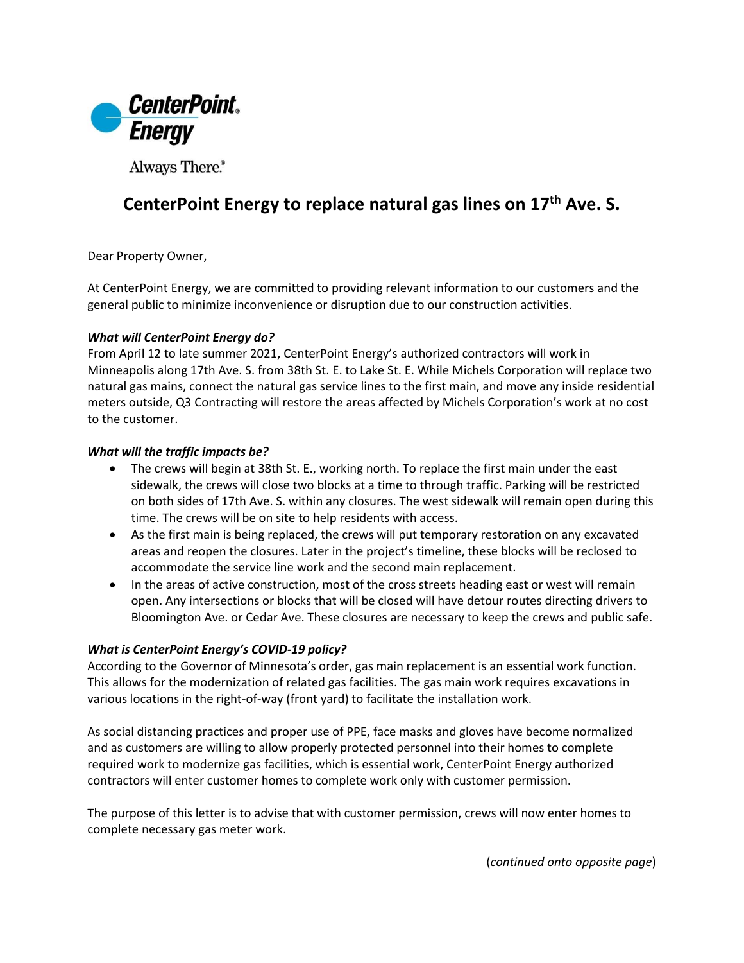

Always There.®

# **CenterPoint Energy to replace natural gas lines on 17th Ave. S.**

Dear Property Owner,

At CenterPoint Energy, we are committed to providing relevant information to our customers and the general public to minimize inconvenience or disruption due to our construction activities.

### *What will CenterPoint Energy do?*

From April 12 to late summer 2021, CenterPoint Energy's authorized contractors will work in Minneapolis along 17th Ave. S. from 38th St. E. to Lake St. E. While Michels Corporation will replace two natural gas mains, connect the natural gas service lines to the first main, and move any inside residential meters outside, Q3 Contracting will restore the areas affected by Michels Corporation's work at no cost to the customer.

### *What will the traffic impacts be?*

- The crews will begin at 38th St. E., working north. To replace the first main under the east sidewalk, the crews will close two blocks at a time to through traffic. Parking will be restricted on both sides of 17th Ave. S. within any closures. The west sidewalk will remain open during this time. The crews will be on site to help residents with access.
- As the first main is being replaced, the crews will put temporary restoration on any excavated areas and reopen the closures. Later in the project's timeline, these blocks will be reclosed to accommodate the service line work and the second main replacement.
- In the areas of active construction, most of the cross streets heading east or west will remain open. Any intersections or blocks that will be closed will have detour routes directing drivers to Bloomington Ave. or Cedar Ave. These closures are necessary to keep the crews and public safe.

## *What is CenterPoint Energy's COVID-19 policy?*

According to the Governor of Minnesota's order, gas main replacement is an essential work function. This allows for the modernization of related gas facilities. The gas main work requires excavations in various locations in the right-of-way (front yard) to facilitate the installation work.

As social distancing practices and proper use of PPE, face masks and gloves have become normalized and as customers are willing to allow properly protected personnel into their homes to complete required work to modernize gas facilities, which is essential work, CenterPoint Energy authorized contractors will enter customer homes to complete work only with customer permission.

The purpose of this letter is to advise that with customer permission, crews will now enter homes to complete necessary gas meter work.